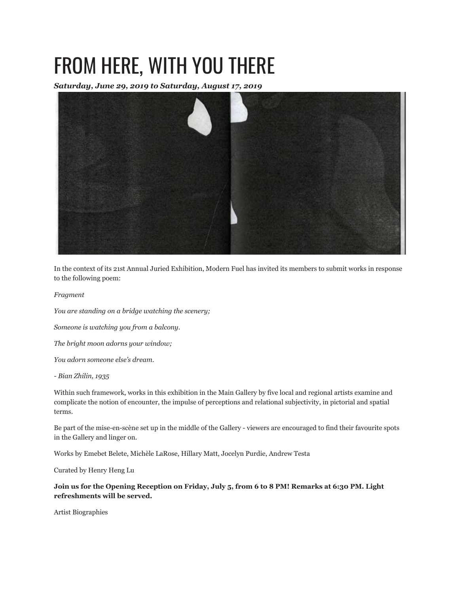## FROM HERE, WITH YOU THERE

*Saturday, June 29, 2019 to Saturday, August 17, 2019*



In the context of its 21st Annual Juried Exhibition, Modern Fuel has invited its members to submit works in response to the following poem:

*Fragment*

*You are standing on a bridge watching the scenery;*

*Someone is watching you from a balcony.*

*The bright moon adorns your window;*

*You adorn someone else's dream.*

*- Bian Zhilin, 1935*

Within such framework, works in this exhibition in the Main Gallery by five local and regional artists examine and complicate the notion of encounter, the impulse of perceptions and relational subjectivity, in pictorial and spatial terms.

Be part of the mise-en-scène set up in the middle of the Gallery - viewers are encouraged to find their favourite spots in the Gallery and linger on.

Works by Emebet Belete, Michèle LaRose, Hillary Matt, Jocelyn Purdie, Andrew Testa

Curated by Henry Heng Lu

**Join us for the Opening Reception on Friday, July 5, from 6 to 8 PM! Remarks at 6:30 PM. Light refreshments will be served.**

Artist Biographies